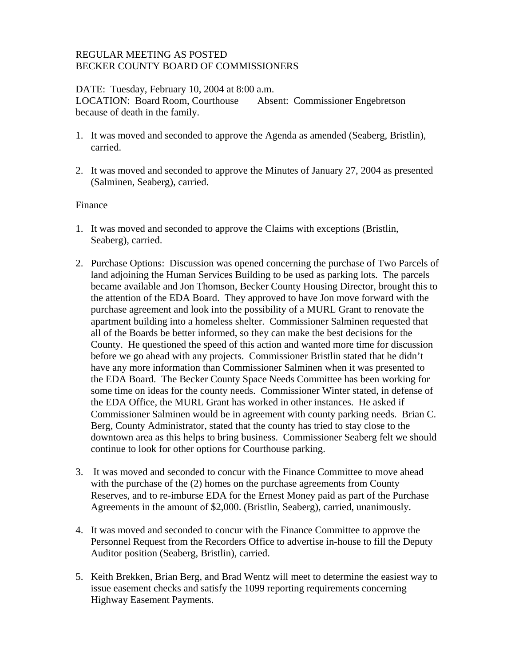### REGULAR MEETING AS POSTED BECKER COUNTY BOARD OF COMMISSIONERS

#### DATE: Tuesday, February 10, 2004 at 8:00 a.m. LOCATION: Board Room, Courthouse Absent: Commissioner Engebretson because of death in the family.

- 1. It was moved and seconded to approve the Agenda as amended (Seaberg, Bristlin), carried.
- 2. It was moved and seconded to approve the Minutes of January 27, 2004 as presented (Salminen, Seaberg), carried.

## Finance

- 1. It was moved and seconded to approve the Claims with exceptions (Bristlin, Seaberg), carried.
- 2. Purchase Options: Discussion was opened concerning the purchase of Two Parcels of land adjoining the Human Services Building to be used as parking lots. The parcels became available and Jon Thomson, Becker County Housing Director, brought this to the attention of the EDA Board. They approved to have Jon move forward with the purchase agreement and look into the possibility of a MURL Grant to renovate the apartment building into a homeless shelter. Commissioner Salminen requested that all of the Boards be better informed, so they can make the best decisions for the County. He questioned the speed of this action and wanted more time for discussion before we go ahead with any projects. Commissioner Bristlin stated that he didn't have any more information than Commissioner Salminen when it was presented to the EDA Board. The Becker County Space Needs Committee has been working for some time on ideas for the county needs. Commissioner Winter stated, in defense of the EDA Office, the MURL Grant has worked in other instances. He asked if Commissioner Salminen would be in agreement with county parking needs. Brian C. Berg, County Administrator, stated that the county has tried to stay close to the downtown area as this helps to bring business. Commissioner Seaberg felt we should continue to look for other options for Courthouse parking.
- 3. It was moved and seconded to concur with the Finance Committee to move ahead with the purchase of the (2) homes on the purchase agreements from County Reserves, and to re-imburse EDA for the Ernest Money paid as part of the Purchase Agreements in the amount of \$2,000. (Bristlin, Seaberg), carried, unanimously.
- 4. It was moved and seconded to concur with the Finance Committee to approve the Personnel Request from the Recorders Office to advertise in-house to fill the Deputy Auditor position (Seaberg, Bristlin), carried.
- 5. Keith Brekken, Brian Berg, and Brad Wentz will meet to determine the easiest way to issue easement checks and satisfy the 1099 reporting requirements concerning Highway Easement Payments.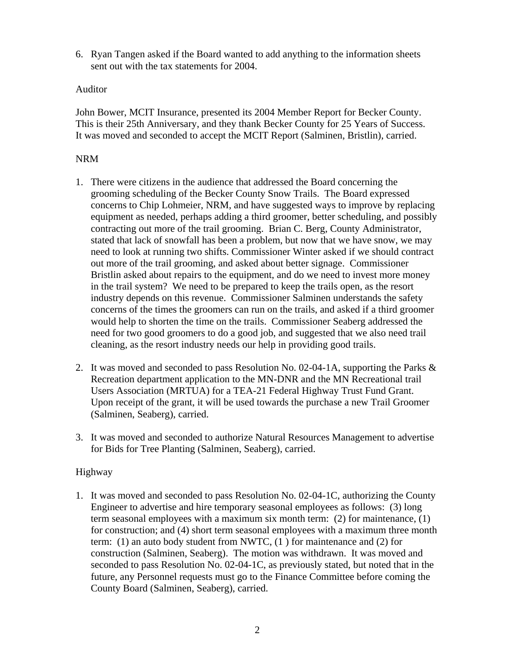6. Ryan Tangen asked if the Board wanted to add anything to the information sheets sent out with the tax statements for 2004.

#### Auditor

John Bower, MCIT Insurance, presented its 2004 Member Report for Becker County. This is their 25th Anniversary, and they thank Becker County for 25 Years of Success. It was moved and seconded to accept the MCIT Report (Salminen, Bristlin), carried.

#### NRM

- 1. There were citizens in the audience that addressed the Board concerning the grooming scheduling of the Becker County Snow Trails. The Board expressed concerns to Chip Lohmeier, NRM, and have suggested ways to improve by replacing equipment as needed, perhaps adding a third groomer, better scheduling, and possibly contracting out more of the trail grooming. Brian C. Berg, County Administrator, stated that lack of snowfall has been a problem, but now that we have snow, we may need to look at running two shifts. Commissioner Winter asked if we should contract out more of the trail grooming, and asked about better signage. Commissioner Bristlin asked about repairs to the equipment, and do we need to invest more money in the trail system? We need to be prepared to keep the trails open, as the resort industry depends on this revenue. Commissioner Salminen understands the safety concerns of the times the groomers can run on the trails, and asked if a third groomer would help to shorten the time on the trails. Commissioner Seaberg addressed the need for two good groomers to do a good job, and suggested that we also need trail cleaning, as the resort industry needs our help in providing good trails.
- 2. It was moved and seconded to pass Resolution No. 02-04-1A, supporting the Parks  $\&$ Recreation department application to the MN-DNR and the MN Recreational trail Users Association (MRTUA) for a TEA-21 Federal Highway Trust Fund Grant. Upon receipt of the grant, it will be used towards the purchase a new Trail Groomer (Salminen, Seaberg), carried.
- 3. It was moved and seconded to authorize Natural Resources Management to advertise for Bids for Tree Planting (Salminen, Seaberg), carried.

#### Highway

1. It was moved and seconded to pass Resolution No. 02-04-1C, authorizing the County Engineer to advertise and hire temporary seasonal employees as follows: (3) long term seasonal employees with a maximum six month term: (2) for maintenance, (1) for construction; and (4) short term seasonal employees with a maximum three month term: (1) an auto body student from NWTC, (1 ) for maintenance and (2) for construction (Salminen, Seaberg). The motion was withdrawn. It was moved and seconded to pass Resolution No. 02-04-1C, as previously stated, but noted that in the future, any Personnel requests must go to the Finance Committee before coming the County Board (Salminen, Seaberg), carried.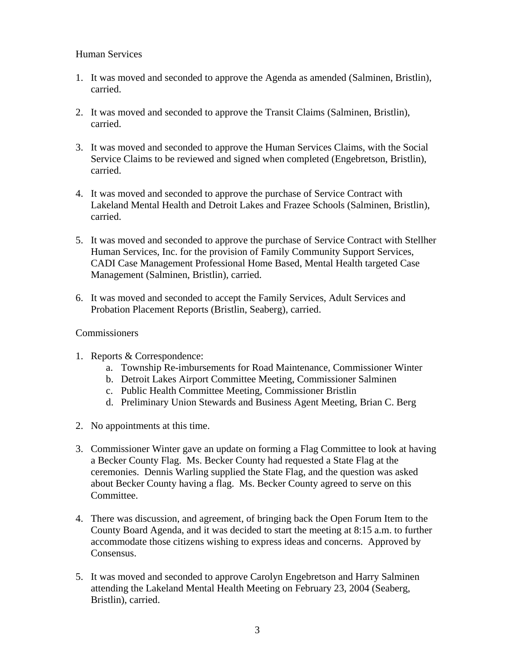### Human Services

- 1. It was moved and seconded to approve the Agenda as amended (Salminen, Bristlin), carried.
- 2. It was moved and seconded to approve the Transit Claims (Salminen, Bristlin), carried.
- 3. It was moved and seconded to approve the Human Services Claims, with the Social Service Claims to be reviewed and signed when completed (Engebretson, Bristlin), carried.
- 4. It was moved and seconded to approve the purchase of Service Contract with Lakeland Mental Health and Detroit Lakes and Frazee Schools (Salminen, Bristlin), carried.
- 5. It was moved and seconded to approve the purchase of Service Contract with Stellher Human Services, Inc. for the provision of Family Community Support Services, CADI Case Management Professional Home Based, Mental Health targeted Case Management (Salminen, Bristlin), carried.
- 6. It was moved and seconded to accept the Family Services, Adult Services and Probation Placement Reports (Bristlin, Seaberg), carried.

# **Commissioners**

- 1. Reports & Correspondence:
	- a. Township Re-imbursements for Road Maintenance, Commissioner Winter
	- b. Detroit Lakes Airport Committee Meeting, Commissioner Salminen
	- c. Public Health Committee Meeting, Commissioner Bristlin
	- d. Preliminary Union Stewards and Business Agent Meeting, Brian C. Berg
- 2. No appointments at this time.
- 3. Commissioner Winter gave an update on forming a Flag Committee to look at having a Becker County Flag. Ms. Becker County had requested a State Flag at the ceremonies. Dennis Warling supplied the State Flag, and the question was asked about Becker County having a flag. Ms. Becker County agreed to serve on this Committee.
- 4. There was discussion, and agreement, of bringing back the Open Forum Item to the County Board Agenda, and it was decided to start the meeting at 8:15 a.m. to further accommodate those citizens wishing to express ideas and concerns. Approved by Consensus.
- 5. It was moved and seconded to approve Carolyn Engebretson and Harry Salminen attending the Lakeland Mental Health Meeting on February 23, 2004 (Seaberg, Bristlin), carried.